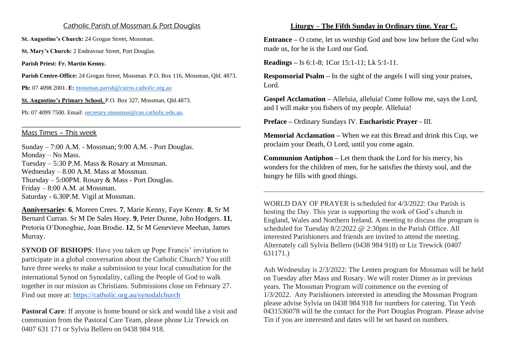## Catholic Parish of Mossman & Port Douglas

**St. Augustine's Church:** 24 Grogan Street, Mossman.

St. Mary's Church: 2 Endeavour Street, Port Douglas.

**Parish Priest: Fr. Martin Kenny.**

**Parish Centre-Office:** 24 Grogan Street, Mossman. P.O. Box 116, Mossman, Qld. 4873.

**\_\_\_\_\_\_\_\_\_\_\_\_\_\_\_\_\_\_\_\_\_\_\_\_\_\_\_\_\_\_\_\_\_\_\_\_\_\_\_\_\_\_\_\_\_\_\_\_\_\_\_\_\_\_\_\_\_\_\_\_\_\_\_\_\_\_\_\_\_\_\_\_\_**

**Ph:** 07 4098 2001. **E:** [mossman.parish@cairns.catholic.org.au](mailto:mossman.parish@cairns.catholic.org.au)

**St. Augustine's Primary School.** P.O. Box 327, Mossman, Qld.4873.

Ph: 07 4099 7500. Email: [secretary.mossman@cns.catholic.edu.au.](mailto:secretary.mossman@cns.catholic.edu.au)

## Mass Times – This week

Sunday – 7:00 A.M. - Mossman; 9:00 A.M. - Port Douglas. Monday – No Mass. Tuesday – 5:30 P.M. Mass & Rosary at Mossman. Wednesday – 8.00 A.M. Mass at Mossman. Thursday – 5:00PM. Rosary & Mass - Port Douglas. Friday – 8:00 A.M. at Mossman. Saturday - 6.30P.M. Vigil at Mossman.

**Anniversaries**: **6**, Moreen Crees. **7**, Marie Kenny, Faye Kenny. **8**, Sr M Bernard Curran. Sr M De Sales Hoey. **9**, Peter Dunne, John Hodgers. **11**, Pretoria O'Donoghue, Joan Brodie. **12**, Sr M Genevieve Meehan, James Murray.

**SYNOD OF BISHOPS:** Have you taken up Pope Francis' invitation to participate in a global conversation about the Catholic Church? You still have three weeks to make a submission to your local consultation for the international Synod on Synodality, calling the People of God to walk together in our mission as Christians. Submissions close on February 27. Find out more at: <https://catholic.org.au/synodalchurch>

**Pastoral Care**: If anyone is home bound or sick and would like a visit and communion from the Pastoral Care Team, please phone Liz Trewick on 0407 631 171 or Sylvia Bellero on 0438 984 918.

## **Liturgy – The Fifth Sunday in Ordinary time. Year C.**

**Entrance –** O come, let us worship God and bow low before the God who made us, for he is the Lord our God.

**Readings –** Is 6:1-8; 1Cor 15:1-11; Lk 5:1-11.

**Responsorial Psalm – In the sight of the angels I will sing your praises,** Lord.

**Gospel Acclamation –** Alleluia, alleluia! Come follow me, says the Lord, and I will make you fishers of my people. Alleluia!

**Preface –** Ordinary Sundays IV. **Eucharistic Prayer** - III.

**Memorial Acclamation** – When we eat this Bread and drink this Cup, we proclaim your Death, O Lord, until you come again.

**Communion Antiphon –** Let them thank the Lord for his mercy, his wonders for the children of men, for he satisfies the thirsty soul, and the hungry he fills with good things.

WORLD DAY OF PRAYER is scheduled for 4/3/2022: Our Parish is hosting the Day. This year is supporting the work of God's church in England, Wales and Northern Ireland. A meeting to discuss the program is scheduled for Tuesday 8/2/2022 @ 2:30pm in the Parish Office. All interested Parishioners and friends are invited to attend the meeting. Alternately call Sylvia Bellero (0438 984 918) or Liz Trewick (0407 631171.)

Ash Wednesday is 2/3/2022: The Lenten program for Mossman will be held on Tuesday after Mass and Rosary. We will roster Dinner as in previous years. The Mossman Program will commence on the evening of 1/3/2022. Any Parishioners interested in attending the Mossman Program please advise Sylvia on 0438 984 918 for numbers for catering. Tin Yeoh 0431536078 will be the contact for the Port Douglas Program. Please advise Tin if you are interested and dates will be set based on numbers.